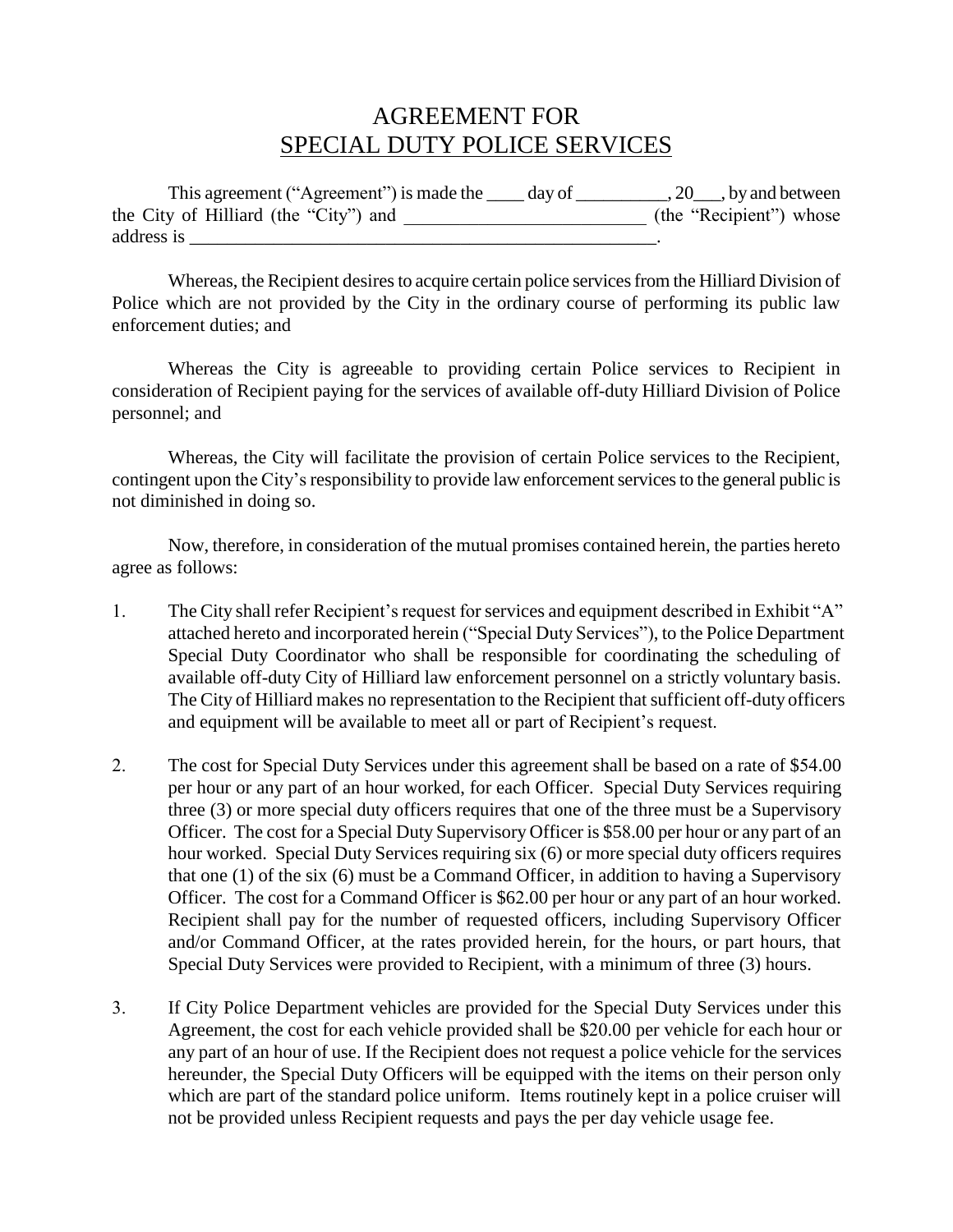## AGREEMENT FOR SPECIAL DUTY POLICE SERVICES

| This agreement ("Agreement") is made the<br>day of | $, 20$ , by and between |
|----------------------------------------------------|-------------------------|
| the City of Hilliard (the "City") and              | (the "Recipient") whose |
| address is                                         |                         |

Whereas, the Recipient desires to acquire certain police services from the Hilliard Division of Police which are not provided by the City in the ordinary course of performing its public law enforcement duties; and

Whereas the City is agreeable to providing certain Police services to Recipient in consideration of Recipient paying for the services of available off-duty Hilliard Division of Police personnel; and

Whereas, the City will facilitate the provision of certain Police services to the Recipient, contingent upon the City's responsibility to provide law enforcement services to the general public is not diminished in doing so.

Now, therefore, in consideration of the mutual promises contained herein, the parties hereto agree as follows:

- 1. The City shall refer Recipient's request for services and equipment described in Exhibit "A" attached hereto and incorporated herein ("Special Duty Services"), to the Police Department Special Duty Coordinator who shall be responsible for coordinating the scheduling of available off-duty City of Hilliard law enforcement personnel on a strictly voluntary basis. The City of Hilliard makes no representation to the Recipient that sufficient off-duty officers and equipment will be available to meet all or part of Recipient's request.
- 2. The cost for Special Duty Services under this agreement shall be based on a rate of \$54.00 per hour or any part of an hour worked, for each Officer. Special Duty Services requiring three (3) or more special duty officers requires that one of the three must be a Supervisory Officer. The cost for a Special Duty Supervisory Officer is \$58.00 per hour or any part of an hour worked. Special Duty Services requiring six (6) or more special duty officers requires that one (1) of the six (6) must be a Command Officer, in addition to having a Supervisory Officer. The cost for a Command Officer is \$62.00 per hour or any part of an hour worked. Recipient shall pay for the number of requested officers, including Supervisory Officer and/or Command Officer, at the rates provided herein, for the hours, or part hours, that Special Duty Services were provided to Recipient, with a minimum of three (3) hours.
- 3. If City Police Department vehicles are provided for the Special Duty Services under this Agreement, the cost for each vehicle provided shall be \$20.00 per vehicle for each hour or any part of an hour of use. If the Recipient does not request a police vehicle for the services hereunder, the Special Duty Officers will be equipped with the items on their person only which are part of the standard police uniform. Items routinely kept in a police cruiser will not be provided unless Recipient requests and pays the per day vehicle usage fee.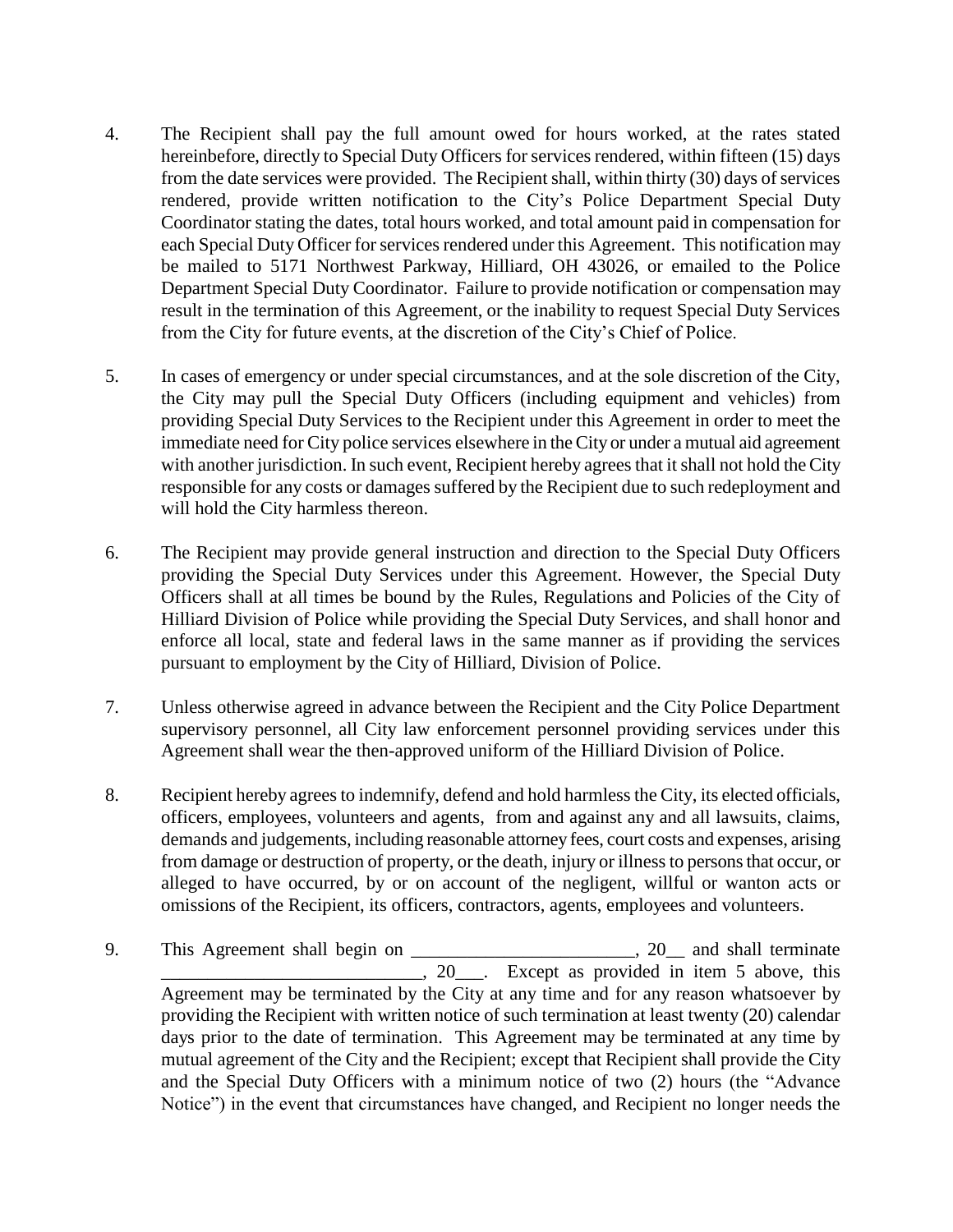- 4. The Recipient shall pay the full amount owed for hours worked, at the rates stated hereinbefore, directly to Special Duty Officers for services rendered, within fifteen (15) days from the date services were provided. The Recipient shall, within thirty (30) days of services rendered, provide written notification to the City's Police Department Special Duty Coordinator stating the dates, total hours worked, and total amount paid in compensation for each Special Duty Officer for services rendered under this Agreement. This notification may be mailed to 5171 Northwest Parkway, Hilliard, OH 43026, or emailed to the Police Department Special Duty Coordinator. Failure to provide notification or compensation may result in the termination of this Agreement, or the inability to request Special Duty Services from the City for future events, at the discretion of the City's Chief of Police.
- 5. In cases of emergency or under special circumstances, and at the sole discretion of the City, the City may pull the Special Duty Officers (including equipment and vehicles) from providing Special Duty Services to the Recipient under this Agreement in order to meet the immediate need for City police services elsewhere in the City or under a mutual aid agreement with another jurisdiction. In such event, Recipient hereby agrees that it shall not hold the City responsible for any costs or damages suffered by the Recipient due to such redeployment and will hold the City harmless thereon.
- 6. The Recipient may provide general instruction and direction to the Special Duty Officers providing the Special Duty Services under this Agreement. However, the Special Duty Officers shall at all times be bound by the Rules, Regulations and Policies of the City of Hilliard Division of Police while providing the Special Duty Services, and shall honor and enforce all local, state and federal laws in the same manner as if providing the services pursuant to employment by the City of Hilliard, Division of Police.
- 7. Unless otherwise agreed in advance between the Recipient and the City Police Department supervisory personnel, all City law enforcement personnel providing services under this Agreement shall wear the then-approved uniform of the Hilliard Division of Police.
- 8. Recipient hereby agrees to indemnify, defend and hold harmless the City, its elected officials, officers, employees, volunteers and agents, from and against any and all lawsuits, claims, demands and judgements, including reasonable attorney fees, court costs and expenses, arising from damage or destruction of property, or the death, injury or illness to personsthat occur, or alleged to have occurred, by or on account of the negligent, willful or wanton acts or omissions of the Recipient, its officers, contractors, agents, employees and volunteers.
- 9. This Agreement shall begin on \_\_\_\_\_\_\_\_\_\_\_\_\_\_\_\_\_\_\_\_\_\_\_, 20\_\_ and shall terminate  $\overline{\phantom{a}}$ , 20 $\overline{\phantom{a}}$ . Except as provided in item 5 above, this Agreement may be terminated by the City at any time and for any reason whatsoever by providing the Recipient with written notice of such termination at least twenty (20) calendar days prior to the date of termination. This Agreement may be terminated at any time by mutual agreement of the City and the Recipient; except that Recipient shall provide the City and the Special Duty Officers with a minimum notice of two (2) hours (the "Advance Notice") in the event that circumstances have changed, and Recipient no longer needs the